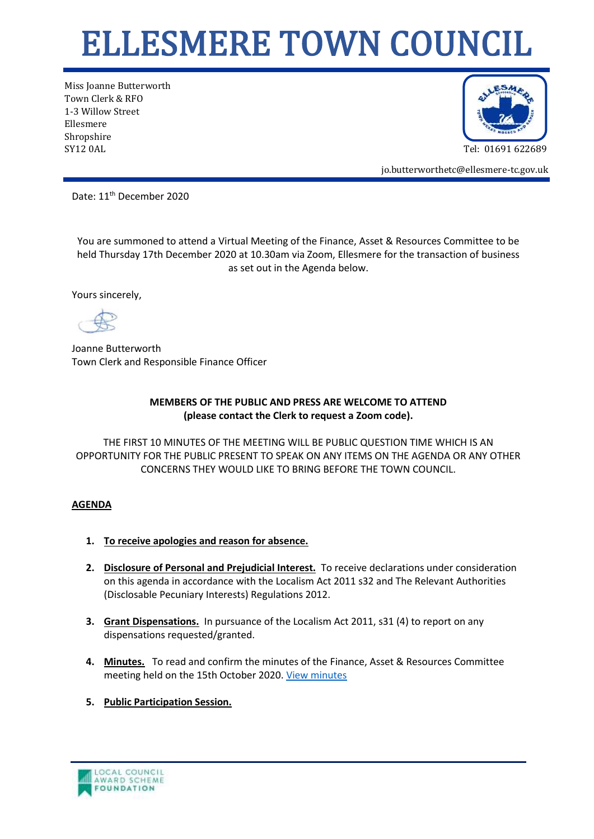## ELLESMERE TOWN COUNCIL

Miss Joanne Butterworth Town Clerk & RFO 1-3 Willow Street Ellesmere Shropshire SY12 0AL Tel: 01691 622689



jo.butterworthetc@ellesmere-tc.gov.uk

Date: 11<sup>th</sup> December 2020

You are summoned to attend a Virtual Meeting of the Finance, Asset & Resources Committee to be held Thursday 17th December 2020 at 10.30am via Zoom, Ellesmere for the transaction of business as set out in the Agenda below.

Yours sincerely,

Joanne Butterworth Town Clerk and Responsible Finance Officer

## **MEMBERS OF THE PUBLIC AND PRESS ARE WELCOME TO ATTEND (please contact the Clerk to request a Zoom code).**

THE FIRST 10 MINUTES OF THE MEETING WILL BE PUBLIC QUESTION TIME WHICH IS AN OPPORTUNITY FOR THE PUBLIC PRESENT TO SPEAK ON ANY ITEMS ON THE AGENDA OR ANY OTHER CONCERNS THEY WOULD LIKE TO BRING BEFORE THE TOWN COUNCIL.

## **AGENDA**

- **1. To receive apologies and reason for absence.**
- **2. Disclosure of Personal and Prejudicial Interest.** To receive declarations under consideration on this agenda in accordance with the Localism Act 2011 s32 and The Relevant Authorities (Disclosable Pecuniary Interests) Regulations 2012.
- **3. Grant Dispensations.** In pursuance of the Localism Act 2011, s31 (4) to report on any dispensations requested/granted.
- **4. Minutes.** To read and confirm the minutes of the Finance, Asset & Resources Committee meeting held on the 15th October 2020. [View minutes](https://ellesmere-tc.gov.uk/wp-content/uploads/2020/10/FAR-Cttee-Draft-Minutes-15102020.pdf)
- **5. Public Participation Session.**